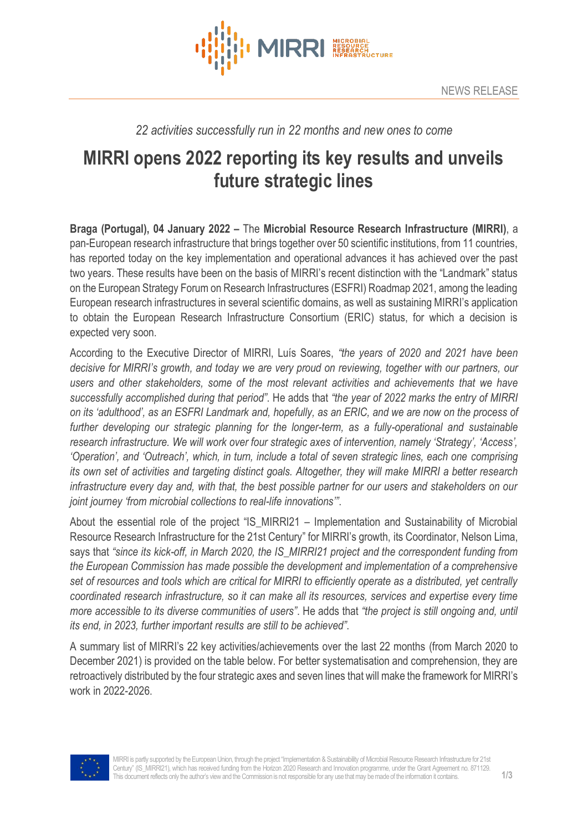



## *22 activities successfully run in 22 months and new ones to come*

## **MIRRI opens 2022 reporting its key results and unveils future strategic lines**

**Braga (Portugal), 04 January 2022 –** The **Microbial Resource Research Infrastructure (MIRRI)**, a pan-European research infrastructure that brings together over 50 scientific institutions, from 11 countries, has reported today on the key implementation and operational advances it has achieved over the past two years. These results have been on the basis of MIRRI's recent distinction with the "Landmark" status on the European Strategy Forum on Research Infrastructures (ESFRI) Roadmap 2021, among the leading European research infrastructures in several scientific domains, as well as sustaining MIRRI's application to obtain the European Research Infrastructure Consortium (ERIC) status, for which a decision is expected very soon.

According to the Executive Director of MIRRI, Luís Soares, *"the years of 2020 and 2021 have been decisive for MIRRI's growth, and today we are very proud on reviewing, together with our partners, our users and other stakeholders, some of the most relevant activities and achievements that we have successfully accomplished during that period"*. He adds that *"the year of 2022 marks the entry of MIRRI on its 'adulthood', as an ESFRI Landmark and, hopefully, as an ERIC, and we are now on the process of* further developing our strategic planning for the longer-term, as a fully-operational and sustainable *research infrastructure. We will work over four strategic axes of intervention, namely 'Strategy', 'Access', 'Operation', and 'Outreach', which, in turn, include a total of seven strategic lines, each one comprising its own set of activities and targeting distinct goals. Altogether, they will make MIRRI a better research infrastructure every day and, with that, the best possible partner for our users and stakeholders on our joint journey 'from microbial collections to real-life innovations'"*.

About the essential role of the project "IS\_MIRRI21 – Implementation and Sustainability of Microbial Resource Research Infrastructure for the 21st Century" for MIRRI's growth, its Coordinator, Nelson Lima, says that *"since its kick-off, in March 2020, the IS\_MIRRI21 project and the correspondent funding from the European Commission has made possible the development and implementation of a comprehensive set of resources and tools which are critical for MIRRI to efficiently operate as a distributed, yet centrally coordinated research infrastructure, so it can make all its resources, services and expertise every time more accessible to its diverse communities of users"*. He adds that *"the project is still ongoing and, until its end, in 2023, further important results are still to be achieved"*.

A summary list of MIRRI's 22 key activities/achievements over the last 22 months (from March 2020 to December 2021) is provided on the table below. For better systematisation and comprehension, they are retroactively distributed by the four strategic axes and seven lines that will make the framework for MIRRI's work in 2022-2026.

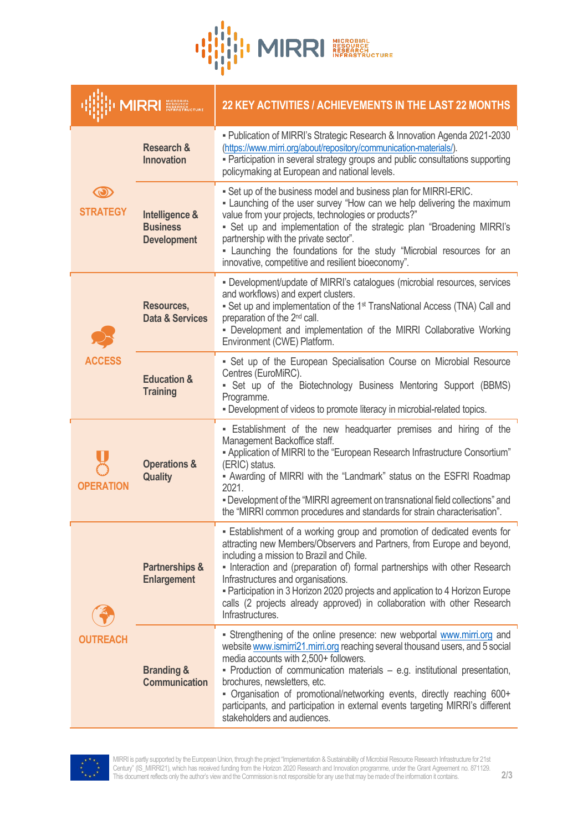

| <b>MIRRI</b> NESSERIES          |                                                         | 22 KEY ACTIVITIES / ACHIEVEMENTS IN THE LAST 22 MONTHS                                                                                                                                                                                                                                                                                                                                                                                                                                                      |
|---------------------------------|---------------------------------------------------------|-------------------------------------------------------------------------------------------------------------------------------------------------------------------------------------------------------------------------------------------------------------------------------------------------------------------------------------------------------------------------------------------------------------------------------------------------------------------------------------------------------------|
| $\mathbb{O}$<br><b>STRATEGY</b> | <b>Research &amp;</b><br><b>Innovation</b>              | - Publication of MIRRI's Strategic Research & Innovation Agenda 2021-2030<br>(https://www.mirri.org/about/repository/communication-materials/).<br>- Participation in several strategy groups and public consultations supporting<br>policymaking at European and national levels.                                                                                                                                                                                                                          |
|                                 | Intelligence &<br><b>Business</b><br><b>Development</b> | . Set up of the business model and business plan for MIRRI-ERIC.<br>- Launching of the user survey "How can we help delivering the maximum<br>value from your projects, technologies or products?"<br>- Set up and implementation of the strategic plan "Broadening MIRRI's<br>partnership with the private sector".<br>- Launching the foundations for the study "Microbial resources for an<br>innovative, competitive and resilient bioeconomy".                                                         |
| <b>ACCESS</b>                   | Resources,<br><b>Data &amp; Services</b>                | - Development/update of MIRRI's catalogues (microbial resources, services<br>and workflows) and expert clusters.<br>Set up and implementation of the 1 <sup>st</sup> TransNational Access (TNA) Call and<br>preparation of the 2 <sup>nd</sup> call.<br>- Development and implementation of the MIRRI Collaborative Working<br>Environment (CWE) Platform.                                                                                                                                                  |
|                                 | <b>Education &amp;</b><br><b>Training</b>               | - Set up of the European Specialisation Course on Microbial Resource<br>Centres (EuroMiRC).<br>- Set up of the Biotechnology Business Mentoring Support (BBMS)<br>Programme.<br>- Development of videos to promote literacy in microbial-related topics.                                                                                                                                                                                                                                                    |
| OPFRATION                       | <b>Operations &amp;</b><br><b>Quality</b>               | - Establishment of the new headquarter premises and hiring of the<br>Management Backoffice staff.<br>- Application of MIRRI to the "European Research Infrastructure Consortium"<br>(ERIC) status.<br>- Awarding of MIRRI with the "Landmark" status on the ESFRI Roadmap<br>2021.<br>- Development of the "MIRRI agreement on transnational field collections" and<br>the "MIRRI common procedures and standards for strain characterisation".                                                             |
| <b>IREACH</b>                   | <b>Partnerships &amp;</b><br><b>Enlargement</b>         | Establishment of a working group and promotion of dedicated events for<br>attracting new Members/Observers and Partners, from Europe and beyond,<br>including a mission to Brazil and Chile.<br>- Interaction and (preparation of) formal partnerships with other Research<br>Infrastructures and organisations.<br>- Participation in 3 Horizon 2020 projects and application to 4 Horizon Europe<br>calls (2 projects already approved) in collaboration with other Research<br>Infrastructures.          |
|                                 | <b>Branding &amp;</b><br><b>Communication</b>           | Strengthening of the online presence: new webportal www.mirri.org and<br>website www.ismirri21.mirri.org reaching several thousand users, and 5 social<br>media accounts with 2,500+ followers.<br>- Production of communication materials $-$ e.g. institutional presentation,<br>brochures, newsletters, etc.<br>- Organisation of promotional/networking events, directly reaching 600+<br>participants, and participation in external events targeting MIRRI's different<br>stakeholders and audiences. |



MIRRI is partly supported by the European Union, through the project "Implementation & Sustainability of Microbial Resource Research Infrastructure for 21st Century" (IS\_MIRRI21), which has received funding from the Horizon 2020 Research and Innovation programme, under the Grant Agreement no. 871129.<br>This document reflects only the author's view and the Commission is not respo